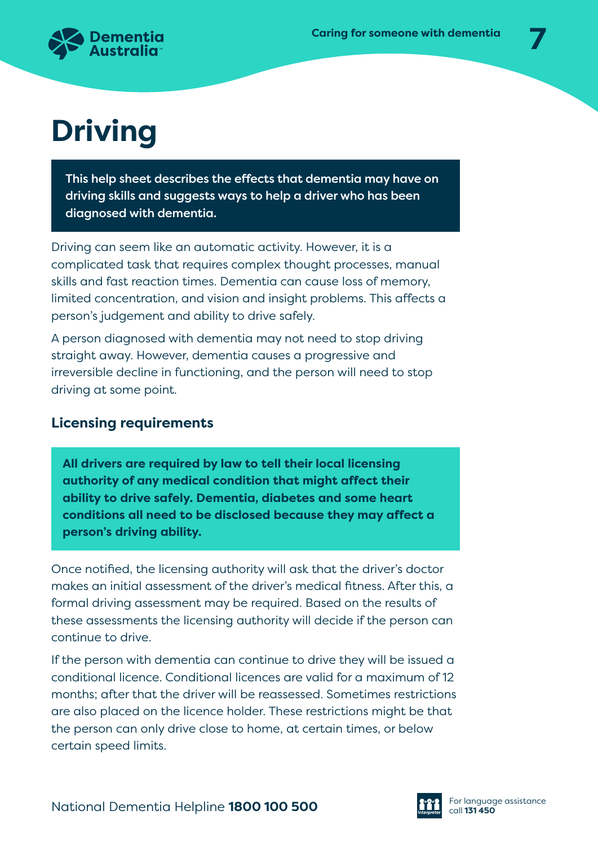

# **Driving**

This help sheet describes the effects that dementia may have on driving skills and suggests ways to help a driver who has been diagnosed with dementia.

Driving can seem like an automatic activity. However, it is a complicated task that requires complex thought processes, manual skills and fast reaction times. Dementia can cause loss of memory, limited concentration, and vision and insight problems. This affects a person's judgement and ability to drive safely.

A person diagnosed with dementia may not need to stop driving straight away. However, dementia causes a progressive and irreversible decline in functioning, and the person will need to stop driving at some point.

# **Licensing requirements**

**All drivers are required by law to tell their local licensing authority of any medical condition that might affect their ability to drive safely. Dementia, diabetes and some heart conditions all need to be disclosed because they may affect a person's driving ability.**

Once notified, the licensing authority will ask that the driver's doctor makes an initial assessment of the driver's medical fitness. After this, a formal driving assessment may be required. Based on the results of these assessments the licensing authority will decide if the person can continue to drive.

If the person with dementia can continue to drive they will be issued a conditional licence. Conditional licences are valid for a maximum of 12 months; after that the driver will be reassessed. Sometimes restrictions are also placed on the licence holder. These restrictions might be that the person can only drive close to home, at certain times, or below certain speed limits.

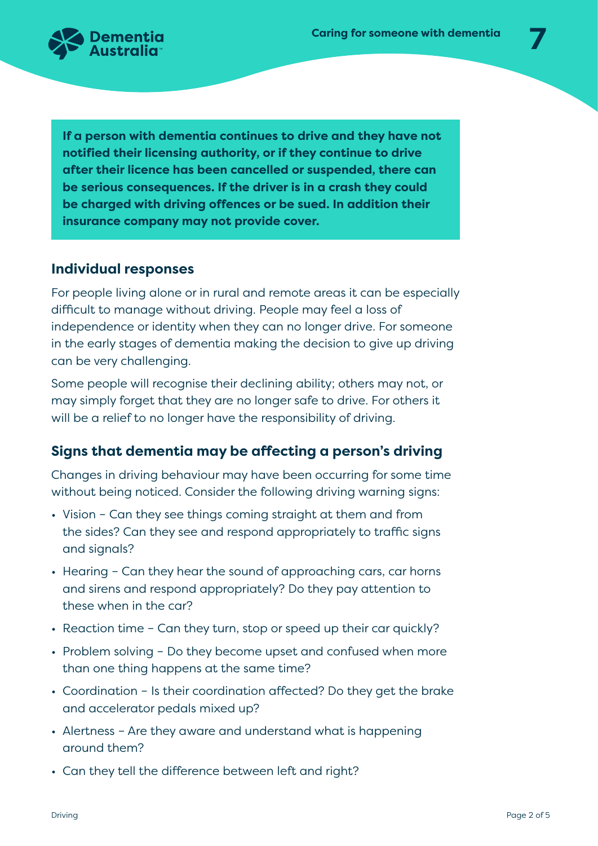

**If a person with dementia continues to drive and they have not notified their licensing authority, or if they continue to drive after their licence has been cancelled or suspended, there can be serious consequences. If the driver is in a crash they could be charged with driving offences or be sued. In addition their insurance company may not provide cover.**

## **Individual responses**

For people living alone or in rural and remote areas it can be especially difficult to manage without driving. People may feel a loss of independence or identity when they can no longer drive. For someone in the early stages of dementia making the decision to give up driving can be very challenging.

Some people will recognise their declining ability; others may not, or may simply forget that they are no longer safe to drive. For others it will be a relief to no longer have the responsibility of driving.

## **Signs that dementia may be affecting a person's driving**

Changes in driving behaviour may have been occurring for some time without being noticed. Consider the following driving warning signs:

- Vision Can they see things coming straight at them and from the sides? Can they see and respond appropriately to traffic signs and signals?
- Hearing Can they hear the sound of approaching cars, car horns and sirens and respond appropriately? Do they pay attention to these when in the car?
- Reaction time Can they turn, stop or speed up their car quickly?
- Problem solving Do they become upset and confused when more than one thing happens at the same time?
- Coordination Is their coordination affected? Do they get the brake and accelerator pedals mixed up?
- Alertness Are they aware and understand what is happening around them?
- Can they tell the difference between left and right?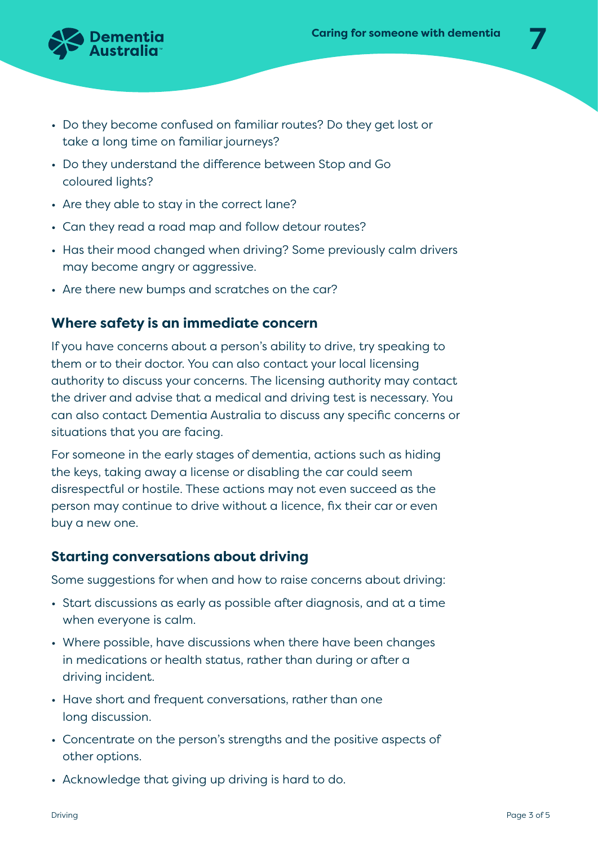

- Do they become confused on familiar routes? Do they get lost or take a long time on familiar journeys?
- Do they understand the difference between Stop and Go coloured lights?
- Are they able to stay in the correct lane?
- Can they read a road map and follow detour routes?
- Has their mood changed when driving? Some previously calm drivers may become angry or aggressive.
- Are there new bumps and scratches on the car?

# **Where safety is an immediate concern**

If you have concerns about a person's ability to drive, try speaking to them or to their doctor. You can also contact your local licensing authority to discuss your concerns. The licensing authority may contact the driver and advise that a medical and driving test is necessary. You can also contact Dementia Australia to discuss any specific concerns or situations that you are facing.

For someone in the early stages of dementia, actions such as hiding the keys, taking away a license or disabling the car could seem disrespectful or hostile. These actions may not even succeed as the person may continue to drive without a licence, fix their car or even buy a new one.

#### **Starting conversations about driving**

Some suggestions for when and how to raise concerns about driving:

- Start discussions as early as possible after diagnosis, and at a time when everyone is calm.
- Where possible, have discussions when there have been changes in medications or health status, rather than during or after a driving incident.
- Have short and frequent conversations, rather than one long discussion.
- Concentrate on the person's strengths and the positive aspects of other options.
- Acknowledge that giving up driving is hard to do.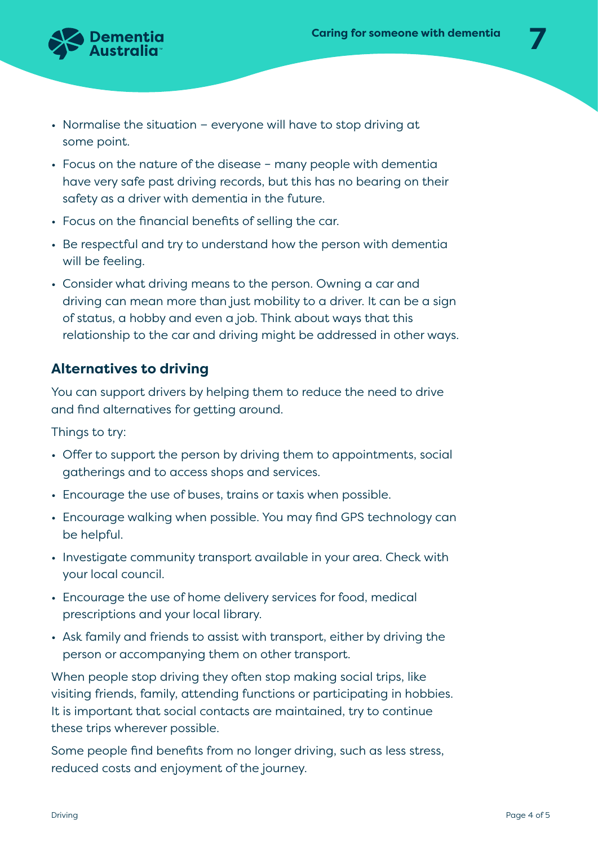

- Normalise the situation − everyone will have to stop driving at some point.
- Focus on the nature of the disease many people with dementia have very safe past driving records, but this has no bearing on their safety as a driver with dementia in the future.
- Focus on the financial benefits of selling the car.
- Be respectful and try to understand how the person with dementia will be feeling.
- Consider what driving means to the person. Owning a car and driving can mean more than just mobility to a driver. It can be a sign of status, a hobby and even a job. Think about ways that this relationship to the car and driving might be addressed in other ways.

# **Alternatives to driving**

You can support drivers by helping them to reduce the need to drive and find alternatives for getting around.

Things to try:

- Offer to support the person by driving them to appointments, social gatherings and to access shops and services.
- Encourage the use of buses, trains or taxis when possible.
- Encourage walking when possible. You may find GPS technology can be helpful.
- Investigate community transport available in your area. Check with your local council.
- Encourage the use of home delivery services for food, medical prescriptions and your local library.
- Ask family and friends to assist with transport, either by driving the person or accompanying them on other transport.

When people stop driving they often stop making social trips, like visiting friends, family, attending functions or participating in hobbies. It is important that social contacts are maintained, try to continue these trips wherever possible.

Some people find benefits from no longer driving, such as less stress, reduced costs and enjoyment of the journey.